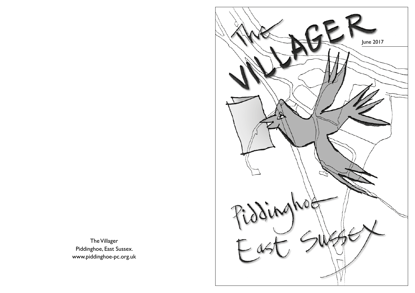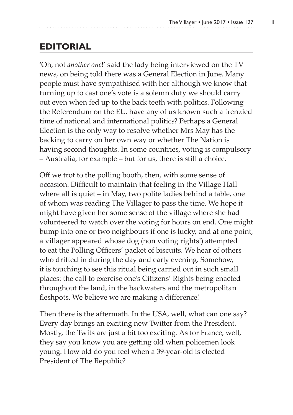## **EDITORIAL**

'Oh, not *another one*!' said the lady being interviewed on the TV news, on being told there was a General Election in June. Many people must have sympathised with her although we know that turning up to cast one's vote is a solemn duty we should carry out even when fed up to the back teeth with politics. Following the Referendum on the EU, have any of us known such a frenzied time of national and international politics? Perhaps a General Election is the only way to resolve whether Mrs May has the backing to carry on her own way or whether The Nation is having second thoughts. In some countries, voting is compulsory – Australia, for example – but for us, there is still a choice.

Off we trot to the polling booth, then, with some sense of occasion. Difficult to maintain that feeling in the Village Hall where all is quiet – in May, two polite ladies behind a table, one of whom was reading The Villager to pass the time. We hope it might have given her some sense of the village where she had volunteered to watch over the voting for hours on end. One might bump into one or two neighbours if one is lucky, and at one point, a villager appeared whose dog (non voting rights!) attempted to eat the Polling Officers' packet of biscuits. We hear of others who drifted in during the day and early evening. Somehow, it is touching to see this ritual being carried out in such small places: the call to exercise one's Citizens' Rights being enacted throughout the land, in the backwaters and the metropolitan fleshpots. We believe we are making a difference!

Then there is the aftermath. In the USA, well, what can one say? Every day brings an exciting new Twitter from the President. Mostly, the Twits are just a bit too exciting. As for France, well, they say you know you are getting old when policemen look young. How old do you feel when a 39-year-old is elected President of The Republic?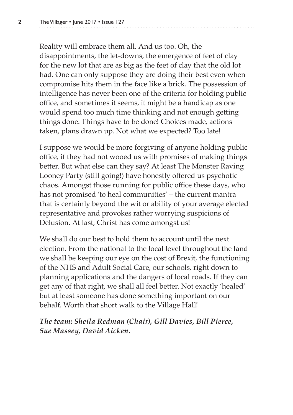Reality will embrace them all. And us too. Oh, the disappointments, the let-downs, the emergence of feet of clay for the new lot that are as big as the feet of clay that the old lot had. One can only suppose they are doing their best even when compromise hits them in the face like a brick. The possession of intelligence has never been one of the criteria for holding public office, and sometimes it seems, it might be a handicap as one would spend too much time thinking and not enough getting things done. Things have to be done! Choices made, actions taken, plans drawn up. Not what we expected? Too late!

I suppose we would be more forgiving of anyone holding public office, if they had not wooed us with promises of making things better. But what else can they say? At least The Monster Raving Looney Party (still going!) have honestly offered us psychotic chaos. Amongst those running for public office these days, who has not promised 'to heal communities' – the current mantra that is certainly beyond the wit or ability of your average elected representative and provokes rather worrying suspicions of Delusion. At last, Christ has come amongst us!

We shall do our best to hold them to account until the next election. From the national to the local level throughout the land we shall be keeping our eye on the cost of Brexit, the functioning of the NHS and Adult Social Care, our schools, right down to planning applications and the dangers of local roads. If they can get any of that right, we shall all feel better. Not exactly 'healed' but at least someone has done something important on our behalf. Worth that short walk to the Village Hall!

*The team: Sheila Redman (Chair), Gill Davies, Bill Pierce, Sue Massey, David Aicken.*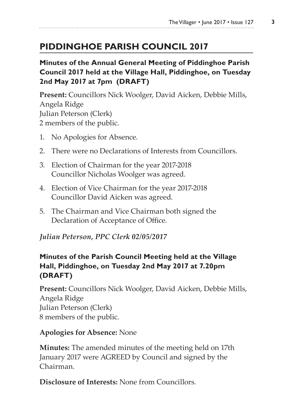## **PIDDINGHOE PARISH COUNCIL 2017**

### **Minutes of the Annual General Meeting of Piddinghoe Parish Council 2017 held at the Village Hall, Piddinghoe, on Tuesday 2nd May 2017 at 7pm (DRAFT)**

**Present:** Councillors Nick Woolger, David Aicken, Debbie Mills, Angela Ridge Julian Peterson (Clerk) 2 members of the public.

- 1. No Apologies for Absence.
- 2. There were no Declarations of Interests from Councillors.
- 3. Election of Chairman for the year 2017-2018 Councillor Nicholas Woolger was agreed.
- 4. Election of Vice Chairman for the year 2017-2018 Councillor David Aicken was agreed.
- 5. The Chairman and Vice Chairman both signed the Declaration of Acceptance of Office.

#### *Julian Peterson, PPC Clerk 02/05/2017*

#### **Minutes of the Parish Council Meeting held at the Village Hall, Piddinghoe, on Tuesday 2nd May 2017 at 7.20pm (DRAFT)**

**Present:** Councillors Nick Woolger, David Aicken, Debbie Mills, Angela Ridge Julian Peterson (Clerk) 8 members of the public.

#### **Apologies for Absence:** None

**Minutes:** The amended minutes of the meeting held on 17th January 2017 were AGREED by Council and signed by the Chairman.

**Disclosure of Interests:** None from Councillors.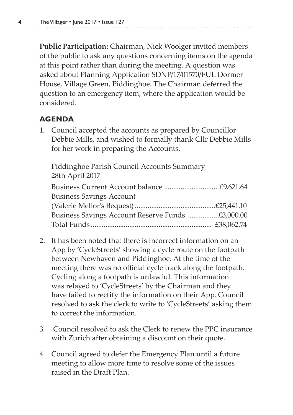**Public Participation:** Chairman, Nick Woolger invited members of the public to ask any questions concerning items on the agenda at this point rather than during the meeting. A question was asked about Planning Application SDNP/17/01570/FUL Dormer House, Village Green, Piddinghoe. The Chairman deferred the question to an emergency item, where the application would be considered.

### **AGENDA**

1. Council accepted the accounts as prepared by Councillor Debbie Mills, and wished to formally thank Cllr Debbie Mills for her work in preparing the Accounts.

Piddinghoe Parish Council Accounts Summary 28th April 2017 Business Current Account balance ..............................£9,621.64 Business Savings Account (Valerie Mellor's Bequest)............................................£25,441.10 Business Savings Account Reserve Funds ................ £3,000.00 Total Funds .................................................................. £38,062.74

- 2. It has been noted that there is incorrect information on an App by 'CycleStreets' showing a cycle route on the footpath between Newhaven and Piddinghoe. At the time of the meeting there was no official cycle track along the footpath. Cycling along a footpath is unlawful. This information was relayed to 'CycleStreets' by the Chairman and they have failed to rectify the information on their App. Council resolved to ask the clerk to write to 'CycleStreets' asking them to correct the information.
- 3. Council resolved to ask the Clerk to renew the PPC insurance with Zurich after obtaining a discount on their quote.
- 4. Council agreed to defer the Emergency Plan until a future meeting to allow more time to resolve some of the issues raised in the Draft Plan.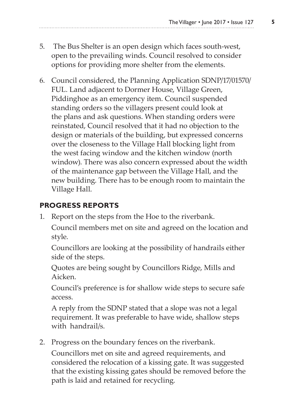- 5. The Bus Shelter is an open design which faces south-west, open to the prevailing winds. Council resolved to consider options for providing more shelter from the elements.
- 6. Council considered, the Planning Application SDNP/17/01570/ FUL. Land adjacent to Dormer House, Village Green, Piddinghoe as an emergency item. Council suspended standing orders so the villagers present could look at the plans and ask questions. When standing orders were reinstated, Council resolved that it had no objection to the design or materials of the building, but expressed concerns over the closeness to the Village Hall blocking light from the west facing window and the kitchen window (north window). There was also concern expressed about the width of the maintenance gap between the Village Hall, and the new building. There has to be enough room to maintain the Village Hall.

### **PROGRESS REPORTS**

1. Report on the steps from the Hoe to the riverbank.

Council members met on site and agreed on the location and style.

Councillors are looking at the possibility of handrails either side of the steps.

Quotes are being sought by Councillors Ridge, Mills and Aicken.

Council's preference is for shallow wide steps to secure safe access.

A reply from the SDNP stated that a slope was not a legal requirement. It was preferable to have wide, shallow steps with handrail/s.

2. Progress on the boundary fences on the riverbank.

Councillors met on site and agreed requirements, and considered the relocation of a kissing gate. It was suggested that the existing kissing gates should be removed before the path is laid and retained for recycling.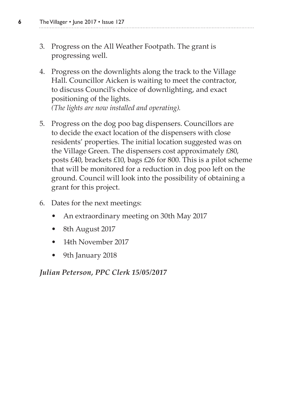- **6** The Villager June 2017 Issue 127
	- 3. Progress on the All Weather Footpath. The grant is progressing well.
	- 4. Progress on the downlights along the track to the Village Hall. Councillor Aicken is waiting to meet the contractor, to discuss Council's choice of downlighting, and exact positioning of the lights. *(The lights are now installed and operating).*
	- 5. Progress on the dog poo bag dispensers. Councillors are to decide the exact location of the dispensers with close residents' properties. The initial location suggested was on the Village Green. The dispensers cost approximately £80, posts £40, brackets £10, bags £26 for 800. This is a pilot scheme that will be monitored for a reduction in dog poo left on the ground. Council will look into the possibility of obtaining a grant for this project.
	- 6. Dates for the next meetings:
		- An extraordinary meeting on 30th May 2017
		- 8th August 2017
		- 14th November 2017
		- 9th January 2018

*Julian Peterson, PPC Clerk 15/05/2017*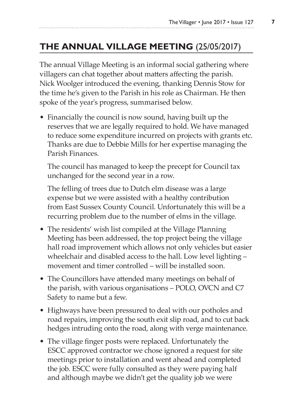## **THE ANNUAL VILLAGE MEETING** (25/05/2017)

The annual Village Meeting is an informal social gathering where villagers can chat together about matters affecting the parish. Nick Woolger introduced the evening, thanking Dennis Stow for the time he's given to the Parish in his role as Chairman. He then spoke of the year's progress, summarised below.

• Financially the council is now sound, having built up the reserves that we are legally required to hold. We have managed to reduce some expenditure incurred on projects with grants etc. Thanks are due to Debbie Mills for her expertise managing the Parish Finances.

The council has managed to keep the precept for Council tax unchanged for the second year in a row.

The felling of trees due to Dutch elm disease was a large expense but we were assisted with a healthy contribution from East Sussex County Council. Unfortunately this will be a recurring problem due to the number of elms in the village.

- The residents' wish list compiled at the Village Planning Meeting has been addressed, the top project being the village hall road improvement which allows not only vehicles but easier wheelchair and disabled access to the hall. Low level lighting – movement and timer controlled – will be installed soon.
- The Councillors have attended many meetings on behalf of the parish, with various organisations – POLO, OVCN and C7 Safety to name but a few.
- Highways have been pressured to deal with our potholes and road repairs, improving the south exit slip road, and to cut back hedges intruding onto the road, along with verge maintenance.
- The village finger posts were replaced. Unfortunately the ESCC approved contractor we chose ignored a request for site meetings prior to installation and went ahead and completed the job. ESCC were fully consulted as they were paying half and although maybe we didn't get the quality job we were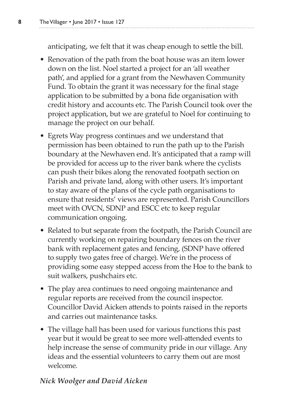anticipating, we felt that it was cheap enough to settle the bill.

- Renovation of the path from the boat house was an item lower down on the list. Noel started a project for an 'all weather path', and applied for a grant from the Newhaven Community Fund. To obtain the grant it was necessary for the final stage application to be submitted by a bona fide organisation with credit history and accounts etc. The Parish Council took over the project application, but we are grateful to Noel for continuing to manage the project on our behalf.
- Egrets Way progress continues and we understand that permission has been obtained to run the path up to the Parish boundary at the Newhaven end. It's anticipated that a ramp will be provided for access up to the river bank where the cyclists can push their bikes along the renovated footpath section on Parish and private land, along with other users. It's important to stay aware of the plans of the cycle path organisations to ensure that residents' views are represented. Parish Councillors meet with OVCN, SDNP and ESCC etc to keep regular communication ongoing.
- Related to but separate from the footpath, the Parish Council are currently working on repairing boundary fences on the river bank with replacement gates and fencing, (SDNP have offered to supply two gates free of charge). We're in the process of providing some easy stepped access from the Hoe to the bank to suit walkers, pushchairs etc.
- The play area continues to need ongoing maintenance and regular reports are received from the council inspector. Councillor David Aicken attends to points raised in the reports and carries out maintenance tasks.
- The village hall has been used for various functions this past year but it would be great to see more well-attended events to help increase the sense of community pride in our village. Any ideas and the essential volunteers to carry them out are most welcome.

#### *Nick Woolger and David Aicken*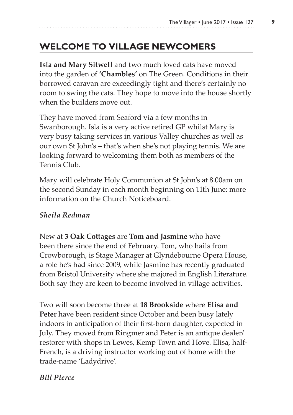## **WELCOME TO VILLAGE NEWCOMERS**

**Isla and Mary Sitwell** and two much loved cats have moved into the garden of **'Chambles'** on The Green. Conditions in their borrowed caravan are exceedingly tight and there's certainly no room to swing the cats. They hope to move into the house shortly when the builders move out.

They have moved from Seaford via a few months in Swanborough. Isla is a very active retired GP whilst Mary is very busy taking services in various Valley churches as well as our own St John's – that's when she's not playing tennis. We are looking forward to welcoming them both as members of the Tennis Club.

Mary will celebrate Holy Communion at St John's at 8.00am on the second Sunday in each month beginning on 11th June: more information on the Church Noticeboard.

#### *Sheila Redman*

New at **3 Oak Cottages** are **Tom and Jasmine** who have been there since the end of February. Tom, who hails from Crowborough, is Stage Manager at Glyndebourne Opera House, a role he's had since 2009, while Jasmine has recently graduated from Bristol University where she majored in English Literature. Both say they are keen to become involved in village activities.

Two will soon become three at **18 Brookside** where **Elisa and Peter** have been resident since October and been busy lately indoors in anticipation of their first-born daughter, expected in July. They moved from Ringmer and Peter is an antique dealer/ restorer with shops in Lewes, Kemp Town and Hove. Elisa, half-French, is a driving instructor working out of home with the trade-name 'Ladydrive'.

#### *Bill Pierce*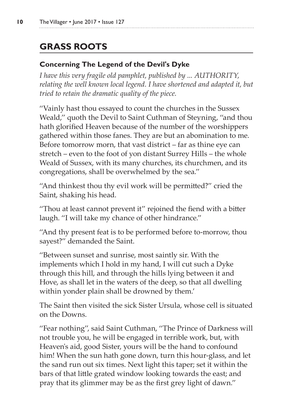# **GRASS ROOTS**

### **Concerning The Legend of the Devil's Dyke**

*I have this very fragile old pamphlet, published by ... AUTHORITY, relating the well known local legend. I have shortened and adapted it, but tried to retain the dramatic quality of the piece.*

''Vainly hast thou essayed to count the churches in the Sussex Weald,'' quoth the Devil to Saint Cuthman of Steyning, ''and thou hath glorified Heaven because of the number of the worshippers gathered within those fanes. They are but an abomination to me. Before tomorrow morn, that vast district – far as thine eye can stretch – even to the foot of yon distant Surrey Hills – the whole Weald of Sussex, with its many churches, its churchmen, and its congregations, shall be overwhelmed by the sea.''

"And thinkest thou thy evil work will be permitted?" cried the Saint, shaking his head.

''Thou at least cannot prevent it'' rejoined the fiend with a bitter laugh. ''I will take my chance of other hindrance.''

''And thy present feat is to be performed before to-morrow, thou sayest?'' demanded the Saint.

''Between sunset and sunrise, most saintly sir. With the implements which I hold in my hand, I will cut such a Dyke through this hill, and through the hills lying between it and Hove, as shall let in the waters of the deep, so that all dwelling within yonder plain shall be drowned by them.'

The Saint then visited the sick Sister Ursula, whose cell is situated on the Downs.

''Fear nothing'', said Saint Cuthman, ''The Prince of Darkness will not trouble you, he will be engaged in terrible work, but, with Heaven's aid, good Sister, yours will be the hand to confound him! When the sun hath gone down, turn this hour-glass, and let the sand run out six times. Next light this taper; set it within the bars of that little grated window looking towards the east; and pray that its glimmer may be as the first grey light of dawn.''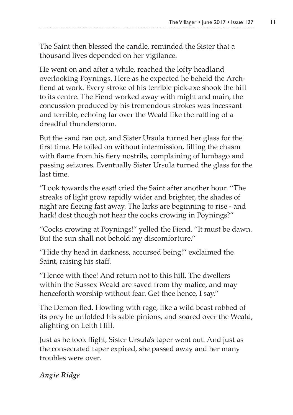The Saint then blessed the candle, reminded the Sister that a thousand lives depended on her vigilance.

He went on and after a while, reached the lofty headland overlooking Poynings. Here as he expected he beheld the Archfiend at work. Every stroke of his terrible pick-axe shook the hill to its centre. The Fiend worked away with might and main, the concussion produced by his tremendous strokes was incessant and terrible, echoing far over the Weald like the rattling of a dreadful thunderstorm.

But the sand ran out, and Sister Ursula turned her glass for the first time. He toiled on without intermission, filling the chasm with flame from his fiery nostrils, complaining of lumbago and passing seizures. Eventually Sister Ursula turned the glass for the last time.

''Look towards the east! cried the Saint after another hour. ''The streaks of light grow rapidly wider and brighter, the shades of night are fleeing fast away. The larks are beginning to rise - and hark! dost though not hear the cocks crowing in Poynings?''

''Cocks crowing at Poynings!'' yelled the Fiend. ''It must be dawn. But the sun shall not behold my discomforture.''

"Hide thy head in darkness, accursed being!" exclaimed the Saint, raising his staff.

''Hence with thee! And return not to this hill. The dwellers within the Sussex Weald are saved from thy malice, and may henceforth worship without fear. Get thee hence, I say.''

The Demon fled. Howling with rage, like a wild beast robbed of its prey he unfolded his sable pinions, and soared over the Weald, alighting on Leith Hill.

Just as he took flight, Sister Ursula's taper went out. And just as the consecrated taper expired, she passed away and her many troubles were over.

*Angie Ridge*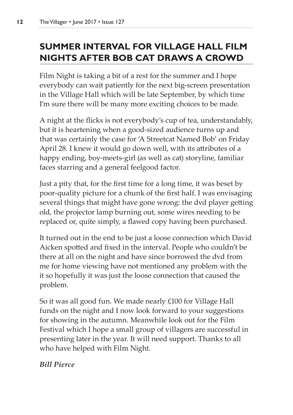# **SUMMER INTERVAL FOR VILLAGE HALL FILM NIGHTS AFTER BOB CAT DRAWS A CROWD**

Film Night is taking a bit of a rest for the summer and I hope everybody can wait patiently for the next big-screen presentation in the Village Hall which will be late September, by which time I'm sure there will be many more exciting choices to be made.

A night at the flicks is not everybody's cup of tea, understandably, but it is heartening when a good-sized audience turns up and that was certainly the case for 'A Streetcat Named Bob' on Friday April 28. I knew it would go down well, with its attributes of a happy ending, boy-meets-girl (as well as cat) storyline, familiar faces starring and a general feelgood factor.

Just a pity that, for the first time for a long time, it was beset by poor-quality picture for a chunk of the first half. I was envisaging several things that might have gone wrong: the dvd player getting old, the projector lamp burning out, some wires needing to be replaced or, quite simply, a flawed copy having been purchased.

It turned out in the end to be just a loose connection which David Aicken spotted and fixed in the interval. People who couldn't be there at all on the night and have since borrowed the dvd from me for home viewing have not mentioned any problem with the it so hopefully it was just the loose connection that caused the problem.

So it was all good fun. We made nearly £100 for Village Hall funds on the night and I now look forward to your suggestions for showing in the autumn. Meanwhile look out for the Film Festival which I hope a small group of villagers are successful in presenting later in the year. It will need support. Thanks to all who have helped with Film Night.

*Bill Pierce*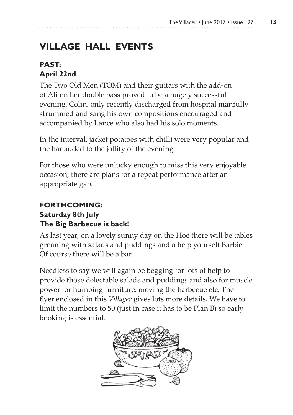# **VILLAGE HALL EVENTS**

### **PAST: April 22nd**

The Two Old Men (TOM) and their guitars with the add-on of Ali on her double bass proved to be a hugely successful evening. Colin, only recently discharged from hospital manfully strummed and sang his own compositions encouraged and accompanied by Lance who also had his solo moments.

In the interval, jacket potatoes with chilli were very popular and the bar added to the jollity of the evening.

For those who were unlucky enough to miss this very enjoyable occasion, there are plans for a repeat performance after an appropriate gap.

#### **FORTHCOMING: Saturday 8th July**

### **The Big Barbecue is back!**

As last year, on a lovely sunny day on the Hoe there will be tables groaning with salads and puddings and a help yourself Barbie. Of course there will be a bar.

Needless to say we will again be begging for lots of help to provide those delectable salads and puddings and also for muscle power for humping furniture, moving the barbecue etc. The flyer enclosed in this *Villager* gives lots more details. We have to limit the numbers to 50 (just in case it has to be Plan B) so early booking is essential.

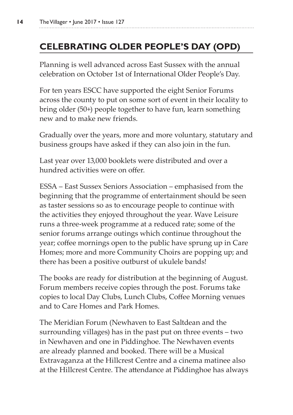## **CELEBRATING OLDER PEOPLE'S DAY (OPD)**

Planning is well advanced across East Sussex with the annual celebration on October 1st of International Older People's Day.

For ten years ESCC have supported the eight Senior Forums across the county to put on some sort of event in their locality to bring older (50+) people together to have fun, learn something new and to make new friends.

Gradually over the years, more and more voluntary, statutary and business groups have asked if they can also join in the fun.

Last year over 13,000 booklets were distributed and over a hundred activities were on offer.

ESSA – East Sussex Seniors Association – emphasised from the beginning that the programme of entertainment should be seen as taster sessions so as to encourage people to continue with the activities they enjoyed throughout the year. Wave Leisure runs a three-week programme at a reduced rate; some of the senior forums arrange outings which continue throughout the year; coffee mornings open to the public have sprung up in Care Homes; more and more Community Choirs are popping up; and there has been a positive outburst of ukulele bands!

The books are ready for distribution at the beginning of August. Forum members receive copies through the post. Forums take copies to local Day Clubs, Lunch Clubs, Coffee Morning venues and to Care Homes and Park Homes.

The Meridian Forum (Newhaven to East Saltdean and the surrounding villages) has in the past put on three events – two in Newhaven and one in Piddinghoe. The Newhaven events are already planned and booked. There will be a Musical Extravaganza at the Hillcrest Centre and a cinema matinee also at the Hillcrest Centre. The attendance at Piddinghoe has always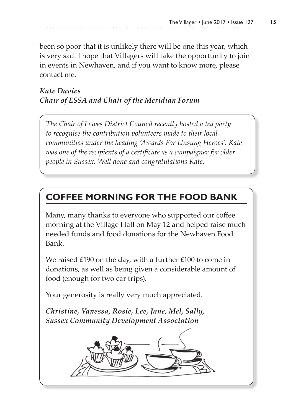been so poor that it is unlikely there will be one this year, which is very sad. I hope that Villagers will take the opportunity to join in events in Newhaven, and if you want to know more, please contact me.

### *Kate Davies Chair of ESSA and Chair of the Meridian Forum*

*The Chair of Lewes District Council recently hosted a tea party to recognise the contribution volunteers made to their local communities under the heading 'Awards For Unsung Heroes'. Kate was one of the recipients of a certificate as a campaigner for older people in Sussex. Well done and congratulations Kate.*

## **COFFEE MORNING FOR THE FOOD BANK**

Many, many thanks to everyone who supported our coffee morning at the Village Hall on May 12 and helped raise much needed funds and food donations for the Newhaven Food Bank.

We raised £190 on the day, with a further £100 to come in donations, as well as being given a considerable amount of food (enough for two car trips).

Your generosity is really very much appreciated.

*Christine, Vanessa, Rosie, Lee, Jane, Mel, Sally, Sussex Community Development Association*

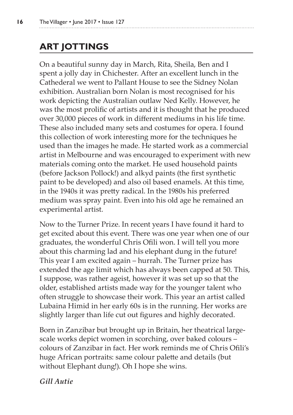# **ART JOTTINGS**

On a beautiful sunny day in March, Rita, Sheila, Ben and I spent a jolly day in Chichester. After an excellent lunch in the Cathederal we went to Pallant House to see the Sidney Nolan exhibition. Australian born Nolan is most recognised for his work depicting the Australian outlaw Ned Kelly. However, he was the most prolific of artists and it is thought that he produced over 30,000 pieces of work in different mediums in his life time. These also included many sets and costumes for opera. I found this collection of work interesting more for the techniques he used than the images he made. He started work as a commercial artist in Melbourne and was encouraged to experiment with new materials coming onto the market. He used household paints (before Jackson Pollock!) and alkyd paints (the first synthetic paint to be developed) and also oil based enamels. At this time, in the 1940s it was pretty radical. In the 1980s his preferred medium was spray paint. Even into his old age he remained an experimental artist.

Now to the Turner Prize. In recent years I have found it hard to get excited about this event. There was one year when one of our graduates, the wonderful Chris Ofili won. I will tell you more about this charming lad and his elephant dung in the future! This year I am excited again – hurrah. The Turner prize has extended the age limit which has always been capped at 50. This, I suppose, was rather ageist, however it was set up so that the older, established artists made way for the younger talent who often struggle to showcase their work. This year an artist called Lubaina Himid in her early 60s is in the running. Her works are slightly larger than life cut out figures and highly decorated.

Born in Zanzibar but brought up in Britain, her theatrical largescale works depict women in scorching, over baked colours – colours of Zanzibar in fact. Her work reminds me of Chris Ofili's huge African portraits: same colour palette and details (but without Elephant dung!). Oh I hope she wins.

#### *Gill Autie*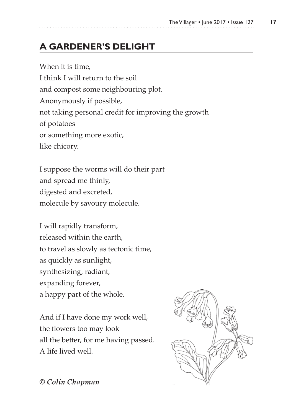# **A GARDENER'S DELIGHT**

When it is time, I think I will return to the soil and compost some neighbouring plot. Anonymously if possible, not taking personal credit for improving the growth of potatoes or something more exotic, like chicory.

I suppose the worms will do their part and spread me thinly, digested and excreted, molecule by savoury molecule.

I will rapidly transform, released within the earth, to travel as slowly as tectonic time, as quickly as sunlight, synthesizing, radiant, expanding forever, a happy part of the whole.

And if I have done my work well, the flowers too may look all the better, for me having passed. A life lived well.



*© Colin Chapman*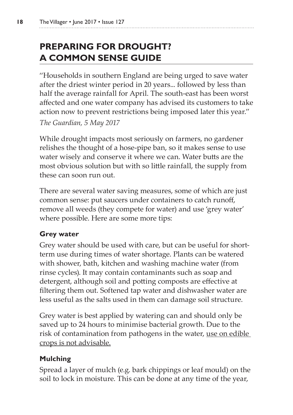# **PREPARING FOR DROUGHT? A COMMON SENSE GUIDE**

''Households in southern England are being urged to save water after the driest winter period in 20 years... followed by less than half the average rainfall for April. The south-east has been worst affected and one water company has advised its customers to take action now to prevent restrictions being imposed later this year.'' *The Guardian, 5 May 2017*

While drought impacts most seriously on farmers, no gardener relishes the thought of a hose-pipe ban, so it makes sense to use water wisely and conserve it where we can. Water butts are the most obvious solution but with so little rainfall, the supply from these can soon run out.

There are several water saving measures, some of which are just common sense: put saucers under containers to catch runoff, remove all weeds (they compete for water) and use 'grey water' where possible. Here are some more tips:

#### **Grey water**

Grey water should be used with care, but can be useful for shortterm use during times of water shortage. Plants can be watered with shower, bath, kitchen and washing machine water (from rinse cycles). It may contain contaminants such as soap and detergent, although soil and potting composts are effective at filtering them out. Softened tap water and dishwasher water are less useful as the salts used in them can damage soil structure.

Grey water is best applied by watering can and should only be saved up to 24 hours to minimise bacterial growth. Due to the risk of contamination from pathogens in the water, use on edible crops is not advisable.

### **Mulching**

Spread a layer of mulch (e.g. bark chippings or leaf mould) on the soil to lock in moisture. This can be done at any time of the year,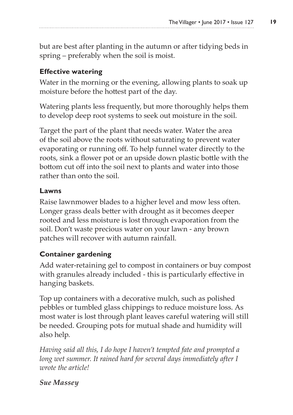but are best after planting in the autumn or after tidying beds in spring – preferably when the soil is moist.

#### **Effective watering**

Water in the morning or the evening, allowing plants to soak up moisture before the hottest part of the day.

Watering plants less frequently, but more thoroughly helps them to develop deep root systems to seek out moisture in the soil.

Target the part of the plant that needs water. Water the area of the soil above the roots without saturating to prevent water evaporating or running off. To help funnel water directly to the roots, sink a flower pot or an upside down plastic bottle with the bottom cut off into the soil next to plants and water into those rather than onto the soil.

#### **Lawns**

Raise lawnmower blades to a higher level and mow less often. Longer grass deals better with drought as it becomes deeper rooted and less moisture is lost through evaporation from the soil. Don't waste precious water on your lawn - any brown patches will recover with autumn rainfall.

#### **Container gardening**

Add water-retaining gel to compost in containers or buy compost with granules already included - this is particularly effective in hanging baskets.

Top up containers with a decorative mulch, such as polished pebbles or tumbled glass chippings to reduce moisture loss. As most water is lost through plant leaves careful watering will still be needed. Grouping pots for mutual shade and humidity will also help.

*Having said all this, I do hope I haven't tempted fate and prompted a long wet summer. It rained hard for several days immediately after I wrote the article!*

#### *Sue Massey*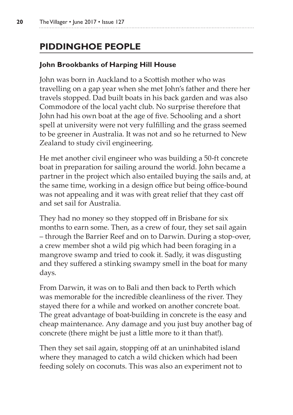# **PIDDINGHOE PEOPLE**

### **John Brookbanks of Harping Hill House**

John was born in Auckland to a Scottish mother who was travelling on a gap year when she met John's father and there her travels stopped. Dad built boats in his back garden and was also Commodore of the local yacht club. No surprise therefore that John had his own boat at the age of five. Schooling and a short spell at university were not very fulfilling and the grass seemed to be greener in Australia. It was not and so he returned to New Zealand to study civil engineering.

He met another civil engineer who was building a 50-ft concrete boat in preparation for sailing around the world. John became a partner in the project which also entailed buying the sails and, at the same time, working in a design office but being office-bound was not appealing and it was with great relief that they cast off and set sail for Australia.

They had no money so they stopped off in Brisbane for six months to earn some. Then, as a crew of four, they set sail again – through the Barrier Reef and on to Darwin. During a stop-over, a crew member shot a wild pig which had been foraging in a mangrove swamp and tried to cook it. Sadly, it was disgusting and they suffered a stinking swampy smell in the boat for many days.

From Darwin, it was on to Bali and then back to Perth which was memorable for the incredible cleanliness of the river. They stayed there for a while and worked on another concrete boat. The great advantage of boat-building in concrete is the easy and cheap maintenance. Any damage and you just buy another bag of concrete (there might be just a little more to it than that!).

Then they set sail again, stopping off at an uninhabited island where they managed to catch a wild chicken which had been feeding solely on coconuts. This was also an experiment not to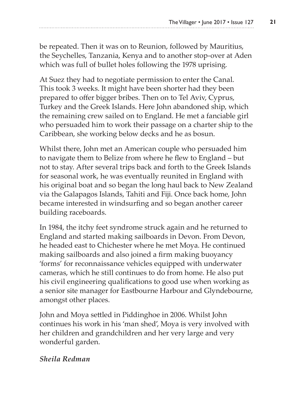be repeated. Then it was on to Reunion, followed by Mauritius, the Seychelles, Tanzania, Kenya and to another stop-over at Aden which was full of bullet holes following the 1978 uprising.

At Suez they had to negotiate permission to enter the Canal. This took 3 weeks. It might have been shorter had they been prepared to offer bigger bribes. Then on to Tel Aviv, Cyprus, Turkey and the Greek Islands. Here John abandoned ship, which the remaining crew sailed on to England. He met a fanciable girl who persuaded him to work their passage on a charter ship to the Caribbean, she working below decks and he as bosun.

Whilst there, John met an American couple who persuaded him to navigate them to Belize from where he flew to England – but not to stay. After several trips back and forth to the Greek Islands for seasonal work, he was eventually reunited in England with his original boat and so began the long haul back to New Zealand via the Galapagos Islands, Tahiti and Fiji. Once back home, John became interested in windsurfing and so began another career building raceboards.

In 1984, the itchy feet syndrome struck again and he returned to England and started making sailboards in Devon. From Devon, he headed east to Chichester where he met Moya. He continued making sailboards and also joined a firm making buoyancy 'forms' for reconnaissance vehicles equipped with underwater cameras, which he still continues to do from home. He also put his civil engineering qualifications to good use when working as a senior site manager for Eastbourne Harbour and Glyndebourne, amongst other places.

John and Moya settled in Piddinghoe in 2006. Whilst John continues his work in his 'man shed', Moya is very involved with her children and grandchildren and her very large and very wonderful garden.

#### *Sheila Redman*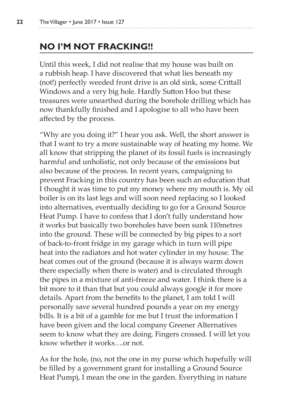## **NO I'M NOT FRACKING!!**

Until this week, I did not realise that my house was built on a rubbish heap. I have discovered that what lies beneath my (not!) perfectly weeded front drive is an old sink, some Crittall Windows and a very big hole. Hardly Sutton Hoo but these treasures were unearthed during the borehole drilling which has now thankfully finished and I apologise to all who have been affected by the process.

"Why are you doing it?" I hear you ask. Well, the short answer is that I want to try a more sustainable way of heating my home. We all know that stripping the planet of its fossil fuels is increasingly harmful and unholistic, not only because of the emissions but also because of the process. In recent years, campaigning to prevent Fracking in this country has been such an education that I thought it was time to put my money where my mouth is. My oil boiler is on its last legs and will soon need replacing so I looked into alternatives, eventually deciding to go for a Ground Source Heat Pump. I have to confess that I don't fully understand how it works but basically two boreholes have been sunk 110metres into the ground. These will be connected by big pipes to a sort of back-to-front fridge in my garage which in turn will pipe heat into the radiators and hot water cylinder in my house. The heat comes out of the ground (because it is always warm down there especially when there is water) and is circulated through the pipes in a mixture of anti-freeze and water. I think there is a bit more to it than that but you could always google it for more details. Apart from the benefits to the planet, I am told I will personally save several hundred pounds a year on my energy bills. It is a bit of a gamble for me but I trust the information I have been given and the local company Greener Alternatives seem to know what they are doing. Fingers crossed. I will let you know whether it works….or not.

As for the hole, (no, not the one in my purse which hopefully will be filled by a government grant for installing a Ground Source Heat Pump), I mean the one in the garden. Everything in nature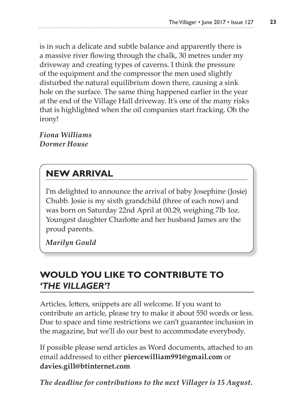is in such a delicate and subtle balance and apparently there is a massive river flowing through the chalk, 30 metres under my driveway and creating types of caverns. I think the pressure of the equipment and the compressor the men used slightly disturbed the natural equilibrium down there, causing a sink hole on the surface. The same thing happened earlier in the year at the end of the Village Hall driveway. It's one of the many risks that is highlighted when the oil companies start fracking. Oh the irony!

*Fiona Williams Dormer House*

# **NEW ARRIVAL**

I'm delighted to announce the arrival of baby Josephine (Josie) Chubb. Josie is my sixth grandchild (three of each now) and was born on Saturday 22nd April at 00.29, weighing 7lb 1oz. Youngest daughter Charlotte and her husband James are the proud parents.

*Marilyn Gould*

## **WOULD YOU LIKE TO CONTRIBUTE TO**  *'THE VILLAGER'***?**

Articles, letters, snippets are all welcome. If you want to contribute an article, please try to make it about 550 words or less. Due to space and time restrictions we can't guarantee inclusion in the magazine, but we'll do our best to accommodate everybody.

If possible please send articles as Word documents, attached to an email addressed to either **piercewilliam991@gmail.com** or **davies.gill@btinternet.com**

*The deadline for contributions to the next Villager is 15 August.*